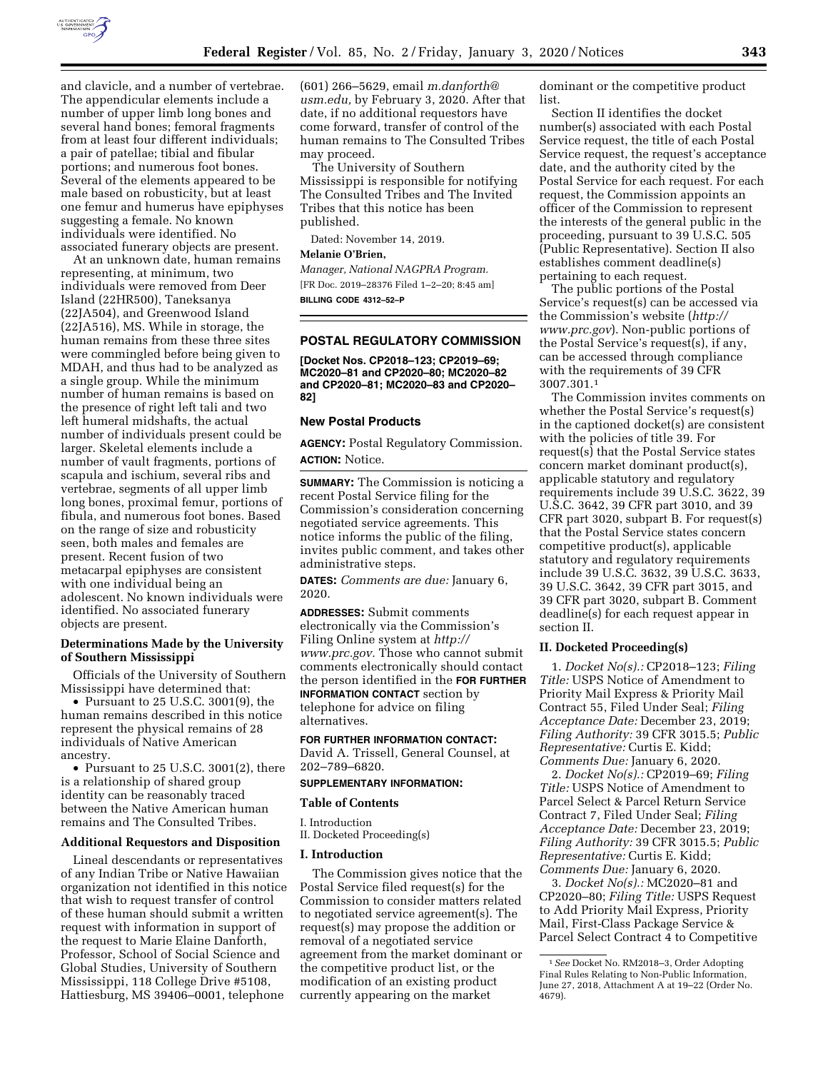

and clavicle, and a number of vertebrae. The appendicular elements include a number of upper limb long bones and several hand bones; femoral fragments from at least four different individuals; a pair of patellae; tibial and fibular portions; and numerous foot bones. Several of the elements appeared to be male based on robusticity, but at least one femur and humerus have epiphyses suggesting a female. No known individuals were identified. No associated funerary objects are present.

At an unknown date, human remains representing, at minimum, two individuals were removed from Deer Island (22HR500), Taneksanya (22JA504), and Greenwood Island (22JA516), MS. While in storage, the human remains from these three sites were commingled before being given to MDAH, and thus had to be analyzed as a single group. While the minimum number of human remains is based on the presence of right left tali and two left humeral midshafts, the actual number of individuals present could be larger. Skeletal elements include a number of vault fragments, portions of scapula and ischium, several ribs and vertebrae, segments of all upper limb long bones, proximal femur, portions of fibula, and numerous foot bones. Based on the range of size and robusticity seen, both males and females are present. Recent fusion of two metacarpal epiphyses are consistent with one individual being an adolescent. No known individuals were identified. No associated funerary objects are present.

#### **Determinations Made by the University of Southern Mississippi**

Officials of the University of Southern Mississippi have determined that:

• Pursuant to 25 U.S.C. 3001(9), the human remains described in this notice represent the physical remains of 28 individuals of Native American ancestry.

• Pursuant to 25 U.S.C. 3001(2), there is a relationship of shared group identity can be reasonably traced between the Native American human remains and The Consulted Tribes.

#### **Additional Requestors and Disposition**

Lineal descendants or representatives of any Indian Tribe or Native Hawaiian organization not identified in this notice that wish to request transfer of control of these human should submit a written request with information in support of the request to Marie Elaine Danforth, Professor, School of Social Science and Global Studies, University of Southern Mississippi, 118 College Drive #5108, Hattiesburg, MS 39406–0001, telephone

(601) 266–5629, email *[m.danforth@](mailto:m.danforth@usm.edu) [usm.edu,](mailto:m.danforth@usm.edu)* by February 3, 2020. After that date, if no additional requestors have come forward, transfer of control of the human remains to The Consulted Tribes may proceed.

The University of Southern Mississippi is responsible for notifying The Consulted Tribes and The Invited Tribes that this notice has been published.

Dated: November 14, 2019.

### **Melanie O'Brien,**

*Manager, National NAGPRA Program.*  [FR Doc. 2019–28376 Filed 1–2–20; 8:45 am] **BILLING CODE 4312–52–P** 

### **POSTAL REGULATORY COMMISSION**

**[Docket Nos. CP2018–123; CP2019–69; MC2020–81 and CP2020–80; MC2020–82 and CP2020–81; MC2020–83 and CP2020– 82]** 

# **New Postal Products**

**AGENCY:** Postal Regulatory Commission. **ACTION:** Notice.

**SUMMARY:** The Commission is noticing a recent Postal Service filing for the Commission's consideration concerning negotiated service agreements. This notice informs the public of the filing, invites public comment, and takes other administrative steps.

**DATES:** *Comments are due:* January 6, 2020.

**ADDRESSES:** Submit comments electronically via the Commission's Filing Online system at *[http://](http://www.prc.gov) [www.prc.gov.](http://www.prc.gov)* Those who cannot submit comments electronically should contact the person identified in the **FOR FURTHER INFORMATION CONTACT** section by telephone for advice on filing alternatives.

### **FOR FURTHER INFORMATION CONTACT:**

David A. Trissell, General Counsel, at 202–789–6820.

### **SUPPLEMENTARY INFORMATION:**

#### **Table of Contents**

I. Introduction

II. Docketed Proceeding(s)

#### **I. Introduction**

The Commission gives notice that the Postal Service filed request(s) for the Commission to consider matters related to negotiated service agreement(s). The request(s) may propose the addition or removal of a negotiated service agreement from the market dominant or the competitive product list, or the modification of an existing product currently appearing on the market

dominant or the competitive product list.

Section II identifies the docket number(s) associated with each Postal Service request, the title of each Postal Service request, the request's acceptance date, and the authority cited by the Postal Service for each request. For each request, the Commission appoints an officer of the Commission to represent the interests of the general public in the proceeding, pursuant to 39 U.S.C. 505 (Public Representative). Section II also establishes comment deadline(s) pertaining to each request.

The public portions of the Postal Service's request(s) can be accessed via the Commission's website (*[http://](http://www.prc.gov) [www.prc.gov](http://www.prc.gov)*). Non-public portions of the Postal Service's request(s), if any, can be accessed through compliance with the requirements of 39 CFR 3007.301.1

The Commission invites comments on whether the Postal Service's request(s) in the captioned docket(s) are consistent with the policies of title 39. For request(s) that the Postal Service states concern market dominant product(s), applicable statutory and regulatory requirements include 39 U.S.C. 3622, 39 U.S.C. 3642, 39 CFR part 3010, and 39 CFR part 3020, subpart B. For request(s) that the Postal Service states concern competitive product(s), applicable statutory and regulatory requirements include 39 U.S.C. 3632, 39 U.S.C. 3633, 39 U.S.C. 3642, 39 CFR part 3015, and 39 CFR part 3020, subpart B. Comment deadline(s) for each request appear in section II.

### **II. Docketed Proceeding(s)**

1. *Docket No(s).:* CP2018–123; *Filing Title:* USPS Notice of Amendment to Priority Mail Express & Priority Mail Contract 55, Filed Under Seal; *Filing Acceptance Date:* December 23, 2019; *Filing Authority:* 39 CFR 3015.5; *Public Representative:* Curtis E. Kidd; *Comments Due:* January 6, 2020.

2. *Docket No(s).:* CP2019–69; *Filing Title:* USPS Notice of Amendment to Parcel Select & Parcel Return Service Contract 7, Filed Under Seal; *Filing Acceptance Date:* December 23, 2019; *Filing Authority:* 39 CFR 3015.5; *Public Representative:* Curtis E. Kidd; *Comments Due:* January 6, 2020.

3. *Docket No(s).:* MC2020–81 and CP2020–80; *Filing Title:* USPS Request to Add Priority Mail Express, Priority Mail, First-Class Package Service & Parcel Select Contract 4 to Competitive

<sup>1</sup>*See* Docket No. RM2018–3, Order Adopting Final Rules Relating to Non-Public Information, June 27, 2018, Attachment A at 19–22 (Order No. 4679).